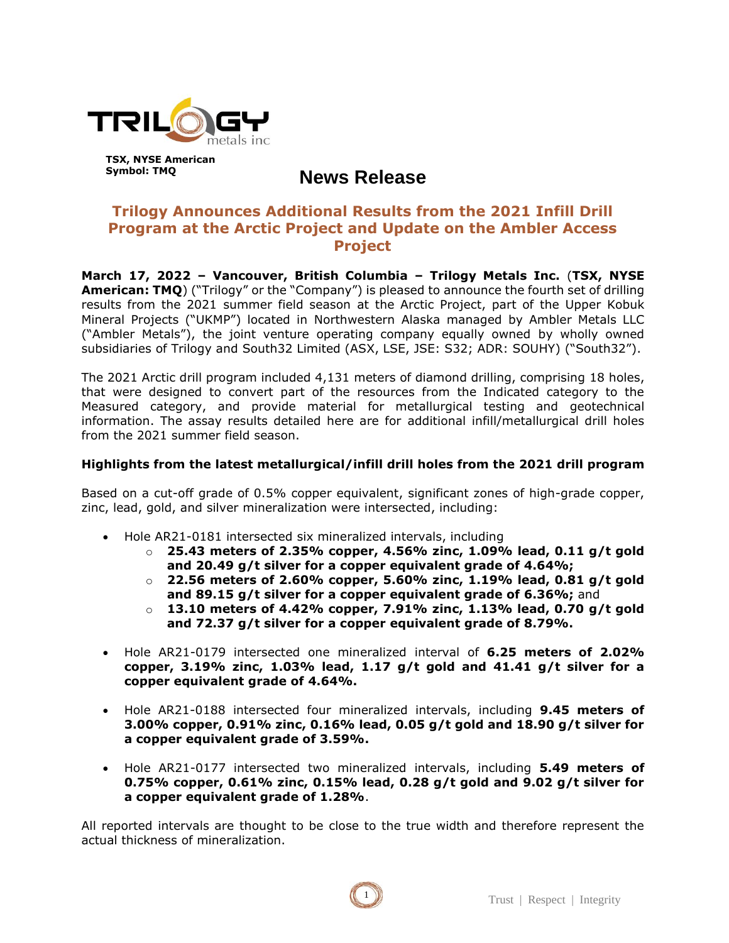

# **News Release**

# **Trilogy Announces Additional Results from the 2021 Infill Drill Program at the Arctic Project and Update on the Ambler Access Project**

**March 17, 2022 – Vancouver, British Columbia – Trilogy Metals Inc.** (**TSX, NYSE American: TMQ**) ("Trilogy" or the "Company") is pleased to announce the fourth set of drilling results from the 2021 summer field season at the Arctic Project, part of the Upper Kobuk Mineral Projects ("UKMP") located in Northwestern Alaska managed by Ambler Metals LLC ("Ambler Metals"), the joint venture operating company equally owned by wholly owned subsidiaries of Trilogy and South32 Limited (ASX, LSE, JSE: S32; ADR: SOUHY) ("South32").

The 2021 Arctic drill program included 4,131 meters of diamond drilling, comprising 18 holes, that were designed to convert part of the resources from the Indicated category to the Measured category, and provide material for metallurgical testing and geotechnical information. The assay results detailed here are for additional infill/metallurgical drill holes from the 2021 summer field season.

### **Highlights from the latest metallurgical/infill drill holes from the 2021 drill program**

Based on a cut-off grade of 0.5% copper equivalent, significant zones of high-grade copper, zinc, lead, gold, and silver mineralization were intersected, including:

- Hole AR21-0181 intersected six mineralized intervals, including
	- o **25.43 meters of 2.35% copper, 4.56% zinc, 1.09% lead, 0.11 g/t gold and 20.49 g/t silver for a copper equivalent grade of 4.64%;**
	- o **22.56 meters of 2.60% copper, 5.60% zinc, 1.19% lead, 0.81 g/t gold and 89.15 g/t silver for a copper equivalent grade of 6.36%;** and
	- o **13.10 meters of 4.42% copper, 7.91% zinc, 1.13% lead, 0.70 g/t gold and 72.37 g/t silver for a copper equivalent grade of 8.79%.**
- Hole AR21-0179 intersected one mineralized interval of **6.25 meters of 2.02% copper, 3.19% zinc, 1.03% lead, 1.17 g/t gold and 41.41 g/t silver for a copper equivalent grade of 4.64%.**
- Hole AR21-0188 intersected four mineralized intervals, including **9.45 meters of 3.00% copper, 0.91% zinc, 0.16% lead, 0.05 g/t gold and 18.90 g/t silver for a copper equivalent grade of 3.59%.**
- Hole AR21-0177 intersected two mineralized intervals, including **5.49 meters of 0.75% copper, 0.61% zinc, 0.15% lead, 0.28 g/t gold and 9.02 g/t silver for a copper equivalent grade of 1.28%**.

All reported intervals are thought to be close to the true width and therefore represent the actual thickness of mineralization.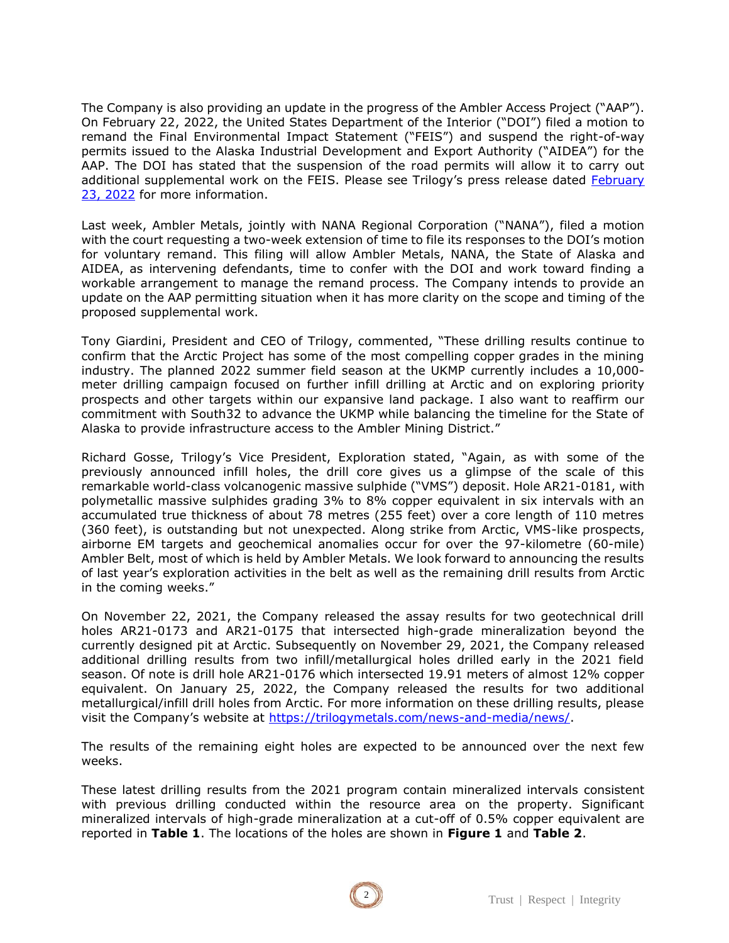The Company is also providing an update in the progress of the Ambler Access Project ("AAP"). On February 22, 2022, the United States Department of the Interior ("DOI") filed a motion to remand the Final Environmental Impact Statement ("FEIS") and suspend the right-of-way permits issued to the Alaska Industrial Development and Export Authority ("AIDEA") for the AAP. The DOI has stated that the suspension of the road permits will allow it to carry out additional supplemental work on the FEIS. Please see Trilogy's press release dated [February](https://trilogymetals.com/site/assets/files/5890/2022-02-23_tmqpr_2022_ambler_road_update_final.pdf)  [23, 2022](https://trilogymetals.com/site/assets/files/5890/2022-02-23_tmqpr_2022_ambler_road_update_final.pdf) for more information.

Last week, Ambler Metals, jointly with NANA Regional Corporation ("NANA"), filed a motion with the court requesting a two-week extension of time to file its responses to the DOI's motion for voluntary remand. This filing will allow Ambler Metals, NANA, the State of Alaska and AIDEA, as intervening defendants, time to confer with the DOI and work toward finding a workable arrangement to manage the remand process. The Company intends to provide an update on the AAP permitting situation when it has more clarity on the scope and timing of the proposed supplemental work.

Tony Giardini, President and CEO of Trilogy, commented, "These drilling results continue to confirm that the Arctic Project has some of the most compelling copper grades in the mining industry. The planned 2022 summer field season at the UKMP currently includes a 10,000 meter drilling campaign focused on further infill drilling at Arctic and on exploring priority prospects and other targets within our expansive land package. I also want to reaffirm our commitment with South32 to advance the UKMP while balancing the timeline for the State of Alaska to provide infrastructure access to the Ambler Mining District."

Richard Gosse, Trilogy's Vice President, Exploration stated, "Again, as with some of the previously announced infill holes, the drill core gives us a glimpse of the scale of this remarkable world-class volcanogenic massive sulphide ("VMS") deposit. Hole AR21-0181, with polymetallic massive sulphides grading 3% to 8% copper equivalent in six intervals with an accumulated true thickness of about 78 metres (255 feet) over a core length of 110 metres (360 feet), is outstanding but not unexpected. Along strike from Arctic, VMS-like prospects, airborne EM targets and geochemical anomalies occur for over the 97-kilometre (60-mile) Ambler Belt, most of which is held by Ambler Metals. We look forward to announcing the results of last year's exploration activities in the belt as well as the remaining drill results from Arctic in the coming weeks."

On November 22, 2021, the Company released the assay results for two geotechnical drill holes AR21-0173 and AR21-0175 that intersected high-grade mineralization beyond the currently designed pit at Arctic. Subsequently on November 29, 2021, the Company released additional drilling results from two infill/metallurgical holes drilled early in the 2021 field season. Of note is drill hole AR21-0176 which intersected 19.91 meters of almost 12% copper equivalent. On January 25, 2022, the Company released the results for two additional metallurgical/infill drill holes from Arctic. For more information on these drilling results, please visit the Company's website at [https://trilogymetals.com/news-and-media/news/.](https://trilogymetals.com/news-and-media/news/)

The results of the remaining eight holes are expected to be announced over the next few weeks.

These latest drilling results from the 2021 program contain mineralized intervals consistent with previous drilling conducted within the resource area on the property. Significant mineralized intervals of high-grade mineralization at a cut-off of 0.5% copper equivalent are reported in **Table 1**. The locations of the holes are shown in **Figure 1** and **Table 2**.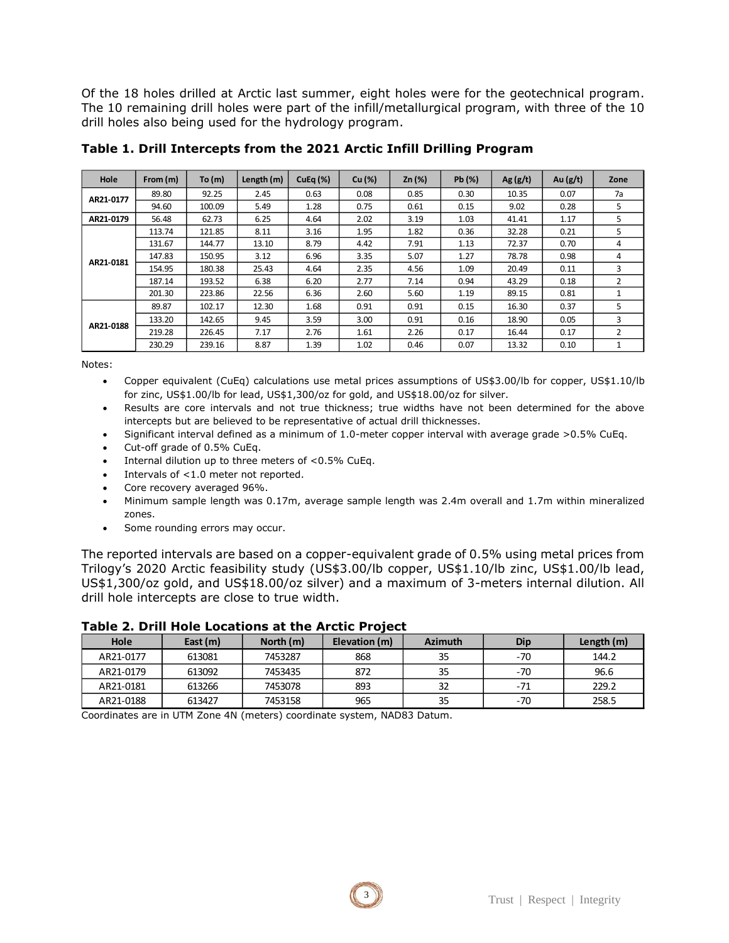Of the 18 holes drilled at Arctic last summer, eight holes were for the geotechnical program. The 10 remaining drill holes were part of the infill/metallurgical program, with three of the 10 drill holes also being used for the hydrology program.

| Hole      | From $(m)$ | To $(m)$ | Length (m) | CuEq (%) | Cu (%) | $Zn$ (%) | Pb (%) | Ag $(g/t)$ | Au $(g/t)$ | Zone |
|-----------|------------|----------|------------|----------|--------|----------|--------|------------|------------|------|
| AR21-0177 | 89.80      | 92.25    | 2.45       | 0.63     | 0.08   | 0.85     | 0.30   | 10.35      | 0.07       | 7a   |
|           | 94.60      | 100.09   | 5.49       | 1.28     | 0.75   | 0.61     | 0.15   | 9.02       | 0.28       | 5    |
| AR21-0179 | 56.48      | 62.73    | 6.25       | 4.64     | 2.02   | 3.19     | 1.03   | 41.41      | 1.17       | 5    |
| AR21-0181 | 113.74     | 121.85   | 8.11       | 3.16     | 1.95   | 1.82     | 0.36   | 32.28      | 0.21       | 5    |
|           | 131.67     | 144.77   | 13.10      | 8.79     | 4.42   | 7.91     | 1.13   | 72.37      | 0.70       | 4    |
|           | 147.83     | 150.95   | 3.12       | 6.96     | 3.35   | 5.07     | 1.27   | 78.78      | 0.98       | 4    |
|           | 154.95     | 180.38   | 25.43      | 4.64     | 2.35   | 4.56     | 1.09   | 20.49      | 0.11       | 3    |
|           | 187.14     | 193.52   | 6.38       | 6.20     | 2.77   | 7.14     | 0.94   | 43.29      | 0.18       | 2    |
|           | 201.30     | 223.86   | 22.56      | 6.36     | 2.60   | 5.60     | 1.19   | 89.15      | 0.81       |      |
| AR21-0188 | 89.87      | 102.17   | 12.30      | 1.68     | 0.91   | 0.91     | 0.15   | 16.30      | 0.37       | 5    |
|           | 133.20     | 142.65   | 9.45       | 3.59     | 3.00   | 0.91     | 0.16   | 18.90      | 0.05       | 3    |
|           | 219.28     | 226.45   | 7.17       | 2.76     | 1.61   | 2.26     | 0.17   | 16.44      | 0.17       | 2    |
|           | 230.29     | 239.16   | 8.87       | 1.39     | 1.02   | 0.46     | 0.07   | 13.32      | 0.10       | 1    |

**Table 1. Drill Intercepts from the 2021 Arctic Infill Drilling Program** 

Notes:

- Copper equivalent (CuEq) calculations use metal prices assumptions of US\$3.00/lb for copper, US\$1.10/lb for zinc, US\$1.00/lb for lead, US\$1,300/oz for gold, and US\$18.00/oz for silver.
- Results are core intervals and not true thickness; true widths have not been determined for the above intercepts but are believed to be representative of actual drill thicknesses.
- Significant interval defined as a minimum of 1.0-meter copper interval with average grade >0.5% CuEq.
- Cut-off grade of 0.5% CuEq.
- Internal dilution up to three meters of  $< 0.5\%$  CuEq.
- Intervals of  $<$ 1.0 meter not reported.
- Core recovery averaged 96%.
- Minimum sample length was 0.17m, average sample length was 2.4m overall and 1.7m within mineralized zones.
- Some rounding errors may occur.

The reported intervals are based on a copper-equivalent grade of 0.5% using metal prices from Trilogy's 2020 Arctic feasibility study (US\$3.00/lb copper, US\$1.10/lb zinc, US\$1.00/lb lead, US\$1,300/oz gold, and US\$18.00/oz silver) and a maximum of 3-meters internal dilution. All drill hole intercepts are close to true width.

| Hole      | East (m) | North (m) | Elevation (m) | <b>Azimuth</b> | Dip   | Length (m) |
|-----------|----------|-----------|---------------|----------------|-------|------------|
| AR21-0177 | 613081   | 7453287   | 868           | 35             | $-70$ | 144.2      |
| AR21-0179 | 613092   | 7453435   | 872           | 35             | $-70$ | 96.6       |
| AR21-0181 | 613266   | 7453078   | 893           | 32             | $-71$ | 229.2      |
| AR21-0188 | 613427   | 7453158   | 965           | 35             | $-70$ | 258.5      |

**Table 2. Drill Hole Locations at the Arctic Project**

Coordinates are in UTM Zone 4N (meters) coordinate system, NAD83 Datum.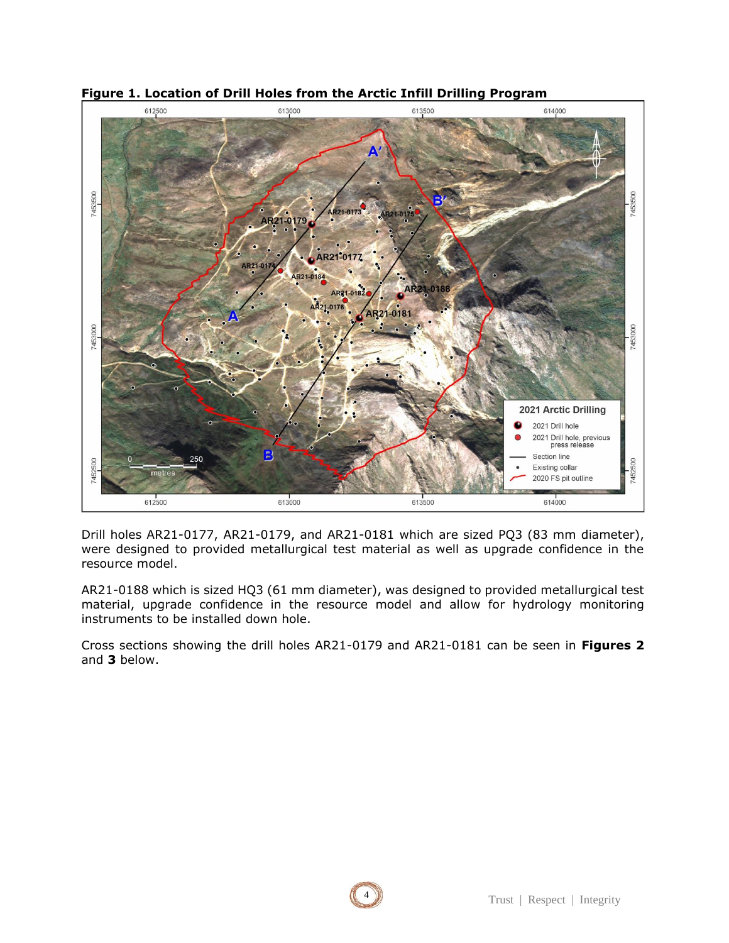

**Figure 1. Location of Drill Holes from the Arctic Infill Drilling Program** 

Drill holes AR21-0177, AR21-0179, and AR21-0181 which are sized PQ3 (83 mm diameter), were designed to provided metallurgical test material as well as upgrade confidence in the resource model.

AR21-0188 which is sized HQ3 (61 mm diameter), was designed to provided metallurgical test material, upgrade confidence in the resource model and allow for hydrology monitoring instruments to be installed down hole.

Cross sections showing the drill holes AR21-0179 and AR21-0181 can be seen in **Figures 2** and **3** below.

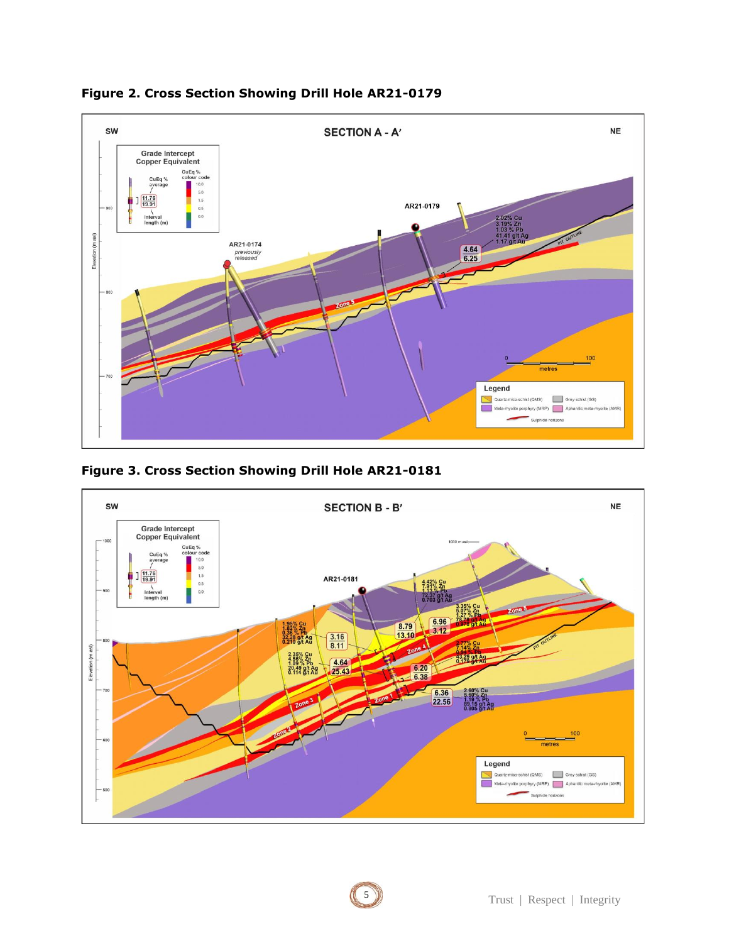





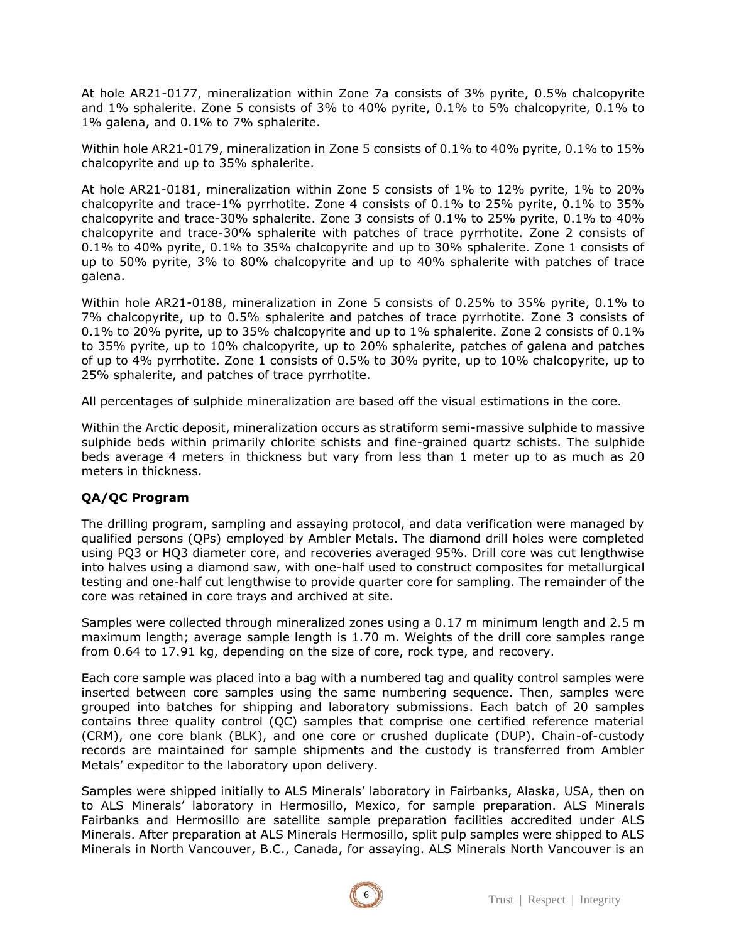At hole AR21-0177, mineralization within Zone 7a consists of 3% pyrite, 0.5% chalcopyrite and 1% sphalerite. Zone 5 consists of 3% to 40% pyrite, 0.1% to 5% chalcopyrite, 0.1% to 1% galena, and 0.1% to 7% sphalerite.

Within hole AR21-0179, mineralization in Zone 5 consists of 0.1% to 40% pyrite, 0.1% to 15% chalcopyrite and up to 35% sphalerite.

At hole AR21-0181, mineralization within Zone 5 consists of 1% to 12% pyrite, 1% to 20% chalcopyrite and trace-1% pyrrhotite. Zone 4 consists of 0.1% to 25% pyrite, 0.1% to 35% chalcopyrite and trace-30% sphalerite. Zone 3 consists of 0.1% to 25% pyrite, 0.1% to 40% chalcopyrite and trace-30% sphalerite with patches of trace pyrrhotite. Zone 2 consists of 0.1% to 40% pyrite, 0.1% to 35% chalcopyrite and up to 30% sphalerite. Zone 1 consists of up to 50% pyrite, 3% to 80% chalcopyrite and up to 40% sphalerite with patches of trace galena.

Within hole AR21-0188, mineralization in Zone 5 consists of 0.25% to 35% pyrite, 0.1% to 7% chalcopyrite, up to 0.5% sphalerite and patches of trace pyrrhotite. Zone 3 consists of 0.1% to 20% pyrite, up to 35% chalcopyrite and up to 1% sphalerite. Zone 2 consists of 0.1% to 35% pyrite, up to 10% chalcopyrite, up to 20% sphalerite, patches of galena and patches of up to 4% pyrrhotite. Zone 1 consists of 0.5% to 30% pyrite, up to 10% chalcopyrite, up to 25% sphalerite, and patches of trace pyrrhotite.

All percentages of sulphide mineralization are based off the visual estimations in the core.

Within the Arctic deposit, mineralization occurs as stratiform semi-massive sulphide to massive sulphide beds within primarily chlorite schists and fine-grained quartz schists. The sulphide beds average 4 meters in thickness but vary from less than 1 meter up to as much as 20 meters in thickness.

## **QA/QC Program**

The drilling program, sampling and assaying protocol, and data verification were managed by qualified persons (QPs) employed by Ambler Metals. The diamond drill holes were completed using PQ3 or HQ3 diameter core, and recoveries averaged 95%. Drill core was cut lengthwise into halves using a diamond saw, with one-half used to construct composites for metallurgical testing and one-half cut lengthwise to provide quarter core for sampling. The remainder of the core was retained in core trays and archived at site.

Samples were collected through mineralized zones using a 0.17 m minimum length and 2.5 m maximum length; average sample length is 1.70 m. Weights of the drill core samples range from 0.64 to 17.91 kg, depending on the size of core, rock type, and recovery.

Each core sample was placed into a bag with a numbered tag and quality control samples were inserted between core samples using the same numbering sequence. Then, samples were grouped into batches for shipping and laboratory submissions. Each batch of 20 samples contains three quality control (QC) samples that comprise one certified reference material (CRM), one core blank (BLK), and one core or crushed duplicate (DUP). Chain-of-custody records are maintained for sample shipments and the custody is transferred from Ambler Metals' expeditor to the laboratory upon delivery.

Samples were shipped initially to ALS Minerals' laboratory in Fairbanks, Alaska, USA, then on to ALS Minerals' laboratory in Hermosillo, Mexico, for sample preparation. ALS Minerals Fairbanks and Hermosillo are satellite sample preparation facilities accredited under ALS Minerals. After preparation at ALS Minerals Hermosillo, split pulp samples were shipped to ALS Minerals in North Vancouver, B.C., Canada, for assaying. ALS Minerals North Vancouver is an

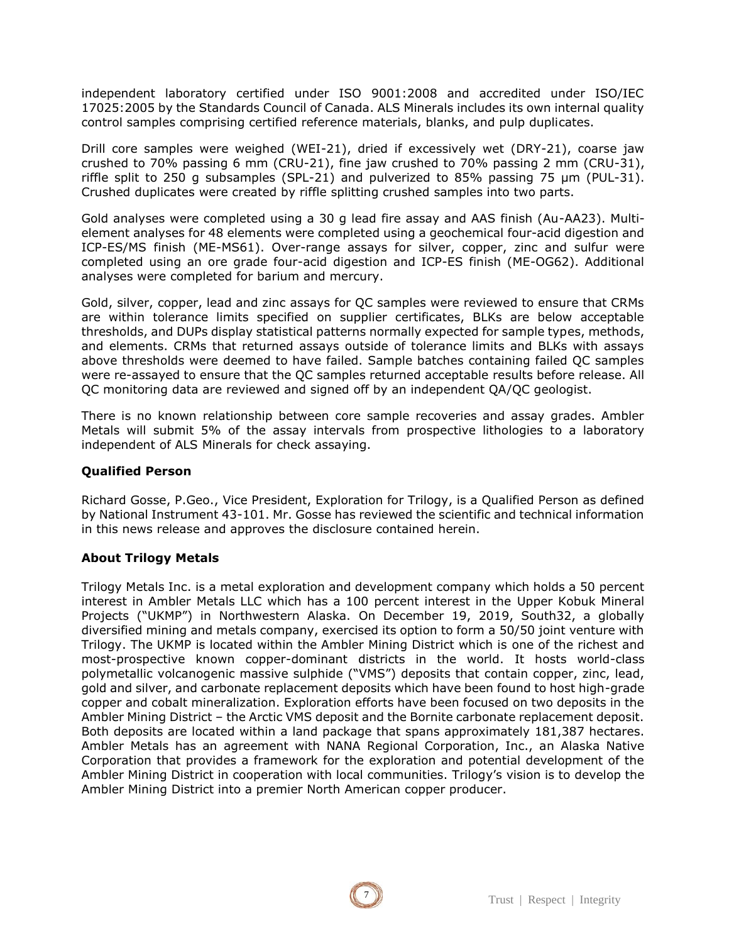independent laboratory certified under ISO 9001:2008 and accredited under ISO/IEC 17025:2005 by the Standards Council of Canada. ALS Minerals includes its own internal quality control samples comprising certified reference materials, blanks, and pulp duplicates.

Drill core samples were weighed (WEI-21), dried if excessively wet (DRY-21), coarse jaw crushed to 70% passing 6 mm (CRU-21), fine jaw crushed to 70% passing 2 mm (CRU-31), riffle split to 250 g subsamples (SPL-21) and pulverized to 85% passing 75 μm (PUL-31). Crushed duplicates were created by riffle splitting crushed samples into two parts.

Gold analyses were completed using a 30 g lead fire assay and AAS finish (Au-AA23). Multielement analyses for 48 elements were completed using a geochemical four-acid digestion and ICP-ES/MS finish (ME-MS61). Over-range assays for silver, copper, zinc and sulfur were completed using an ore grade four-acid digestion and ICP-ES finish (ME-OG62). Additional analyses were completed for barium and mercury.

Gold, silver, copper, lead and zinc assays for QC samples were reviewed to ensure that CRMs are within tolerance limits specified on supplier certificates, BLKs are below acceptable thresholds, and DUPs display statistical patterns normally expected for sample types, methods, and elements. CRMs that returned assays outside of tolerance limits and BLKs with assays above thresholds were deemed to have failed. Sample batches containing failed QC samples were re-assayed to ensure that the QC samples returned acceptable results before release. All QC monitoring data are reviewed and signed off by an independent QA/QC geologist.

There is no known relationship between core sample recoveries and assay grades. Ambler Metals will submit 5% of the assay intervals from prospective lithologies to a laboratory independent of ALS Minerals for check assaying.

#### **Qualified Person**

Richard Gosse, P.Geo., Vice President, Exploration for Trilogy, is a Qualified Person as defined by National Instrument 43-101. Mr. Gosse has reviewed the scientific and technical information in this news release and approves the disclosure contained herein.

#### **About Trilogy Metals**

Trilogy Metals Inc. is a metal exploration and development company which holds a 50 percent interest in Ambler Metals LLC which has a 100 percent interest in the Upper Kobuk Mineral Projects ("UKMP") in Northwestern Alaska. On December 19, 2019, South32, a globally diversified mining and metals company, exercised its option to form a 50/50 joint venture with Trilogy. The UKMP is located within the Ambler Mining District which is one of the richest and most-prospective known copper-dominant districts in the world. It hosts world-class polymetallic volcanogenic massive sulphide ("VMS") deposits that contain copper, zinc, lead, gold and silver, and carbonate replacement deposits which have been found to host high-grade copper and cobalt mineralization. Exploration efforts have been focused on two deposits in the Ambler Mining District – the Arctic VMS deposit and the Bornite carbonate replacement deposit. Both deposits are located within a land package that spans approximately 181,387 hectares. Ambler Metals has an agreement with NANA Regional Corporation, Inc., an Alaska Native Corporation that provides a framework for the exploration and potential development of the Ambler Mining District in cooperation with local communities. Trilogy's vision is to develop the Ambler Mining District into a premier North American copper producer.